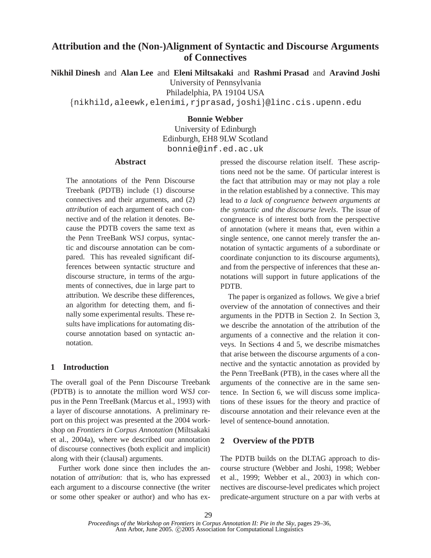# **Attribution and the (Non-)Alignment of Syntactic and Discourse Arguments of Connectives**

**Nikhil Dinesh** and **Alan Lee** and **Eleni Miltsakaki** and **Rashmi Prasad** and **Aravind Joshi**

University of Pennsylvania

Philadelphia, PA 19104 USA

fnikhild,aleewk,elenimi,rjprasad,joshig@linc.cis.upenn.edu

### **Bonnie Webber**

University of Edinburgh Edinburgh, EH8 9LW Scotland bonnie@inf.ed.ac.uk

# **Abstract**

The annotations of the Penn Discourse Treebank (PDTB) include (1) discourse connectives and their arguments, and (2) *attribution* of each argument of each connective and of the relation it denotes. Because the PDTB covers the same text as the Penn TreeBank WSJ corpus, syntactic and discourse annotation can be compared. This has revealed significant differences between syntactic structure and discourse structure, in terms of the arguments of connectives, due in large part to attribution. We describe these differences, an algorithm for detecting them, and finally some experimental results. These results have implications for automating discourse annotation based on syntactic annotation.

# **1 Introduction**

The overall goal of the Penn Discourse Treebank (PDTB) is to annotate the million word WSJ corpus in the Penn TreeBank (Marcus et al., 1993) with a layer of discourse annotations. A preliminary report on this project was presented at the 2004 workshop on *Frontiers in Corpus Annotation* (Miltsakaki et al., 2004a), where we described our annotation of discourse connectives (both explicit and implicit) along with their (clausal) arguments.

Further work done since then includes the annotation of *attribution*: that is, who has expressed each argument to a discourse connective (the writer or some other speaker or author) and who has expressed the discourse relation itself. These ascriptions need not be the same. Of particular interest is the fact that attribution may or may not play a role in the relation established by a connective. This may lead to *a lack of congruence between arguments at the syntactic and the discourse levels*. The issue of congruence is of interest both from the perspective of annotation (where it means that, even within a single sentence, one cannot merely transfer the annotation of syntactic arguments of a subordinate or coordinate conjunction to its discourse arguments), and from the perspective of inferences that these annotations will support in future applications of the PDTB.

The paper is organized as follows. We give a brief overview of the annotation of connectives and their arguments in the PDTB in Section 2. In Section 3, we describe the annotation of the attribution of the arguments of a connective and the relation it conveys. In Sections 4 and 5, we describe mismatches that arise between the discourse arguments of a connective and the syntactic annotation as provided by the Penn TreeBank (PTB), in the cases where all the arguments of the connective are in the same sentence. In Section 6, we will discuss some implications of these issues for the theory and practice of discourse annotation and their relevance even at the level of sentence-bound annotation.

## **2 Overview of the PDTB**

The PDTB builds on the DLTAG approach to discourse structure (Webber and Joshi, 1998; Webber et al., 1999; Webber et al., 2003) in which connectives are discourse-level predicates which project predicate-argument structure on a par with verbs at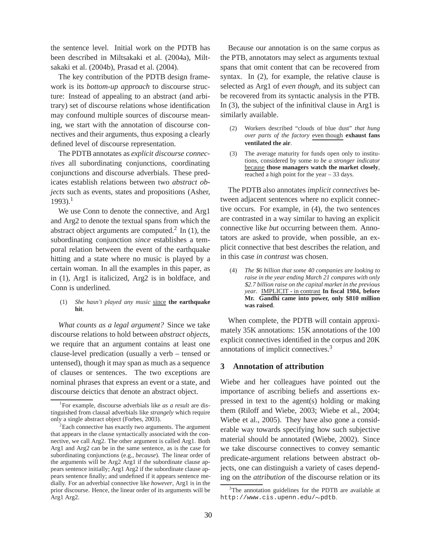the sentence level. Initial work on the PDTB has been described in Miltsakaki et al. (2004a), Miltsakaki et al. (2004b), Prasad et al. (2004).

The key contribution of the PDTB design framework is its *bottom-up approach* to discourse structure: Instead of appealing to an abstract (and arbitrary) set of discourse relations whose identification may confound multiple sources of discourse meaning, we start with the annotation of discourse connectives and their arguments, thus exposing a clearly defined level of discourse representation.

The PDTB annotates as *explicit discourse connectives* all subordinating conjunctions, coordinating conjunctions and discourse adverbials. These predicates establish relations between two *abstract objects* such as events, states and propositions (Asher,  $1993$ ).<sup>1</sup>

We use Conn to denote the connective, and Arg1 and Arg2 to denote the textual spans from which the abstract object arguments are computed.<sup>2</sup> In (1), the subordinating conjunction *since* establishes a temporal relation between the event of the earthquake hitting and a state where no music is played by a certain woman. In all the examples in this paper, as in (1), Arg1 is italicized, Arg2 is in boldface, and Conn is underlined.

### (1) *She hasn't played any music* since **the earthquake hit**.

*What counts as a legal argument?* Since we take discourse relations to hold between *abstract objects*, we require that an argument contains at least one clause-level predication (usually a verb – tensed or untensed), though it may span as much as a sequence of clauses or sentences. The two exceptions are nominal phrases that express an event or a state, and discourse deictics that denote an abstract object.

Because our annotation is on the same corpus as the PTB, annotators may select as arguments textual spans that omit content that can be recovered from syntax. In (2), for example, the relative clause is selected as Arg1 of *even though*, and its subject can be recovered from its syntactic analysis in the PTB. In (3), the subject of the infinitival clause in Arg1 is similarly available.

- (2) Workers described "clouds of blue dust" *that hung over parts of the factory* even though **exhaust fans ventilated the air**.
- (3) The average maturity for funds open only to institutions, considered by some *to be a stronger indicator* because **those managers watch the market closely**, reached a high point for the year – 33 days.

The PDTB also annotates *implicit connectives* between adjacent sentences where no explicit connective occurs. For example, in (4), the two sentences are contrasted in a way similar to having an explicit connective like *but* occurring between them. Annotators are asked to provide, when possible, an explicit connective that best describes the relation, and in this case *in contrast* was chosen.

(4) *The* \$*6 billion that some 40 companies are looking to raise in the year ending March 21 compares with only* \$*2.7 billion raise on the capital market in the previous year*. IMPLICIT - in contrast **In fiscal 1984, before Mr. Gandhi came into power, only \$810 million was raised**.

When complete, the PDTB will contain approximately 35K annotations: 15K annotations of the 100 explicit connectives identified in the corpus and 20K annotations of implicit connectives.<sup>3</sup>

### **3 Annotation of attribution**

Wiebe and her colleagues have pointed out the importance of ascribing beliefs and assertions expressed in text to the agent(s) holding or making them (Riloff and Wiebe, 2003; Wiebe et al., 2004; Wiebe et al., 2005). They have also gone a considerable way towards specifying how such subjective material should be annotated (Wiebe, 2002). Since we take discourse connectives to convey semantic predicate-argument relations between abstract objects, one can distinguish a variety of cases depending on the *attribution* of the discourse relation or its

<sup>1</sup> For example, discourse adverbials like *as a result* are distinguished from clausal adverbials like *strangely* which require only a single abstract object (Forbes, 2003).

 ${}^{2}$ Each connective has exactly two arguments. The argument that appears in the clause syntactically associated with the connective, we call Arg2. The other argument is called Arg1. Both Arg1 and Arg2 can be in the same sentence, as is the case for subordinating conjunctions (e.g., *because*). The linear order of the arguments will be Arg2 Arg1 if the subordinate clause appears sentence initially; Arg1 Arg2 if the subordinate clause appears sentence finally; and undefined if it appears sentence medially. For an adverbial connective like *however*, Arg1 is in the prior discourse. Hence, the linear order of its arguments will be Arg1 Arg2.

<sup>&</sup>lt;sup>3</sup>The annotation guidelines for the PDTB are available at http://www.cis.upenn.edu/~pdtb.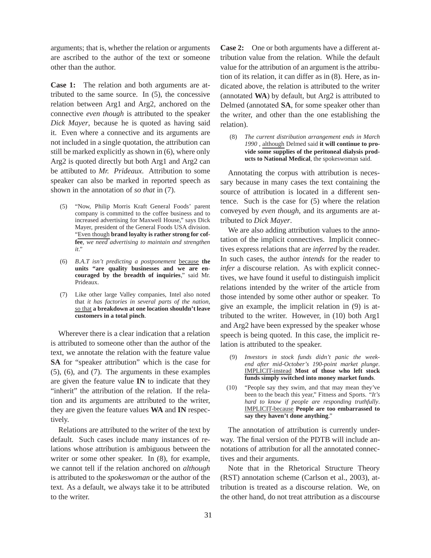arguments; that is, whether the relation or arguments are ascribed to the author of the text or someone other than the author.

**Case 1:** The relation and both arguments are attributed to the same source. In (5), the concessive relation between Arg1 and Arg2, anchored on the connective *even though* is attributed to the speaker *Dick Mayer*, because he is quoted as having said it. Even where a connective and its arguments are not included in a single quotation, the attribution can still be marked explicitly as shown in (6), where only Arg2 is quoted directly but both Arg1 and Arg2 can be attibuted to *Mr. Prideaux*. Attribution to some speaker can also be marked in reported speech as shown in the annotation of *so that* in (7).

- "Now, Philip Morris Kraft General Foods' parent company is committed to the coffee business and to increased advertising for Maxwell House," says Dick Mayer, president of the General Foods USA division. "Even though **brand loyalty is rather strong for coffee**, *we need advertising to maintain and strengthen it*."
- (6) *B.A.T isn't predicting a postponement* because **the units "are quality businesses and we are encouraged by the breadth of inquiries**," said Mr. Prideaux.
- (7) Like other large Valley companies, Intel also noted that *it has factories in several parts of the nation*, so that **a breakdown at one location shouldn't leave customers in a total pinch**.

Wherever there is a clear indication that a relation is attributed to someone other than the author of the text, we annotate the relation with the feature value **SA** for "speaker attribution" which is the case for (5), (6), and (7). The arguments in these examples are given the feature value **IN** to indicate that they "inherit" the attribution of the relation. If the relation and its arguments are attributed to the writer, they are given the feature values **WA** and **IN** respectively.

Relations are attributed to the writer of the text by default. Such cases include many instances of relations whose attribution is ambiguous between the writer or some other speaker. In (8), for example, we cannot tell if the relation anchored on *although* is attributed to the *spokeswoman* or the author of the text. As a default, we always take it to be attributed to the writer.

**Case 2:** One or both arguments have a different attribution value from the relation. While the default value for the attribution of an argument is the attribution of its relation, it can differ as in (8). Here, as indicated above, the relation is attributed to the writer (annotated **WA**) by default, but Arg2 is attributed to Delmed (annotated **SA**, for some speaker other than the writer, and other than the one establishing the relation).

(8) *The current distribution arrangement ends in March 1990* , although Delmed said **it will continue to provide some supplies of the peritoneal dialysis products to National Medical**, the spokeswoman said.

Annotating the corpus with attribution is necessary because in many cases the text containing the source of attribution is located in a different sentence. Such is the case for (5) where the relation conveyed by *even though*, and its arguments are attributed to *Dick Mayer*.

We are also adding attribution values to the annotation of the implicit connectives. Implicit connectives express relations that are *inferred* by the reader. In such cases, the author *intends* for the reader to *infer* a discourse relation. As with explicit connectives, we have found it useful to distinguish implicit relations intended by the writer of the article from those intended by some other author or speaker. To give an example, the implicit relation in (9) is attributed to the writer. However, in (10) both Arg1 and Arg2 have been expressed by the speaker whose speech is being quoted. In this case, the implicit relation is attributed to the speaker.

- (9) *Investors in stock funds didn't panic the weekend after mid-October's 190-point market plunge*. IMPLICIT-instead **Most of those who left stock funds simply switched into money market funds**.
- (10) "People say they swim, and that may mean they've been to the beach this year," Fitness and Sports. "*It's hard to know if people are responding truthfully*. IMPLICIT-because **People are too embarrassed to say they haven't done anything**."

The annotation of attribution is currently underway. The final version of the PDTB will include annotations of attribution for all the annotated connectives and their arguments.

Note that in the Rhetorical Structure Theory (RST) annotation scheme (Carlson et al., 2003), attribution is treated as a discourse relation. We, on the other hand, do not treat attribution as a discourse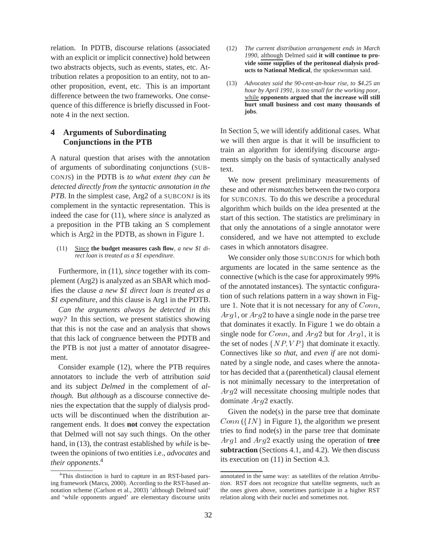relation. In PDTB, discourse relations (associated with an explicit or implicit connective) hold between two abstracts objects, such as events, states, etc. Attribution relates a proposition to an entity, not to another proposition, event, etc. This is an important difference between the two frameworks. One consequence of this difference is briefly discussed in Footnote 4 in the next section.

# **4 Arguments of Subordinating Conjunctions in the PTB**

A natural question that arises with the annotation of arguments of subordinating conjunctions (SUB-CONJS) in the PDTB is *to what extent they can be detected directly from the syntactic annotation in the PTB*. In the simplest case, Arg2 of a SUBCONJ is its complement in the syntactic representation. This is indeed the case for (11), where *since* is analyzed as a preposition in the PTB taking an S complement which is Arg2 in the PDTB, as shown in Figure 1.

### (11) Since **the budget measures cash flow**, *a new* \$*1 direct loan is treated as a* \$*1 expenditure*.

Furthermore, in (11), *since* together with its complement (Arg2) is analyzed as an SBAR which modifies the clause *a new* \$*1 direct loan is treated as a* \$*1 expenditure*, and this clause is Arg1 in the PDTB.

*Can the arguments always be detected in this way?* In this section, we present statistics showing that this is not the case and an analysis that shows that this lack of congruence between the PDTB and the PTB is not just a matter of annotator disagreement.

Consider example (12), where the PTB requires annotators to include the verb of attribution *said* and its subject *Delmed* in the complement of *although*. But *although* as a discourse connective denies the expectation that the supply of dialysis products will be discontinued when the distribution arrangement ends. It does **not** convey the expectation that Delmed will not say such things. On the other hand, in (13), the contrast established by *while* is between the opinions of two entities i.e., *advocates* and *their opponents*. 4

- (12) *The current distribution arrangement ends in March 1990*, although Delmed said **it will continue to provide some supplies of the peritoneal dialysis products to National Medical**, the spokeswoman said.
- (13) *Advocates said the 90-cent-an-hour rise, to* \$*4.25 an hour by April 1991, is too small for the working poor*, while **opponents argued that the increase will still hurt small business and cost many thousands of jobs**.

In Section 5, we will identify additional cases. What we will then argue is that it will be insufficient to train an algorithm for identifying discourse arguments simply on the basis of syntactically analysed text.

We now present preliminary measurements of these and other *mismatches* between the two corpora for SUBCONJS. To do this we describe a procedural algorithm which builds on the idea presented at the start of this section. The statistics are preliminary in that only the annotations of a single annotator were considered, and we have not attempted to exclude cases in which annotators disagree.

We consider only those SUBCONJS for which both arguments are located in the same sentence as the connective (which is the case for approximately 99% of the annotated instances). The syntactic configuration of such relations pattern in a way shown in Figure 1. Note that it is not necessary for any of  $Conn$ ,  $Arg1$ , or  $Arg2$  to have a single node in the parse tree that dominates it exactly. In Figure 1 we do obtain a single node for  $Conn$ , and  $Arg2$  but for  $Arg1$ , it is the set of nodes  $\{NP, VP\}$  that dominate it exactly. Connectives like *so that*, and *even if* are not dominated by a single node, and cases where the annotator has decided that a (parenthetical) clausal element is not minimally necessary to the interpretation of Arg<sup>2</sup> will necessitate choosing multiple nodes that dominate Arg<sup>2</sup> exactly.

Given the node(s) in the parse tree that dominate  $Conn (\lbrace IN \rbrace$  in Figure 1), the algorithm we present tries to find node(s) in the parse tree that dominate Arg<sup>1</sup> and Arg<sup>2</sup> exactly using the operation of **tree subtraction** (Sections 4.1, and 4.2). We then discuss its execution on (11) in Section 4.3.

<sup>&</sup>lt;sup>4</sup>This distinction is hard to capture in an RST-based parsing framework (Marcu, 2000). According to the RST-based annotation scheme (Carlson et al., 2003) 'although Delmed said' and 'while opponents argued' are elementary discourse units

annotated in the same way: as satellites of the relation *Attribution*. RST does not recognize that satellite segments, such as the ones given above, sometimes participate in a higher RST relation along with their nuclei and sometimes not.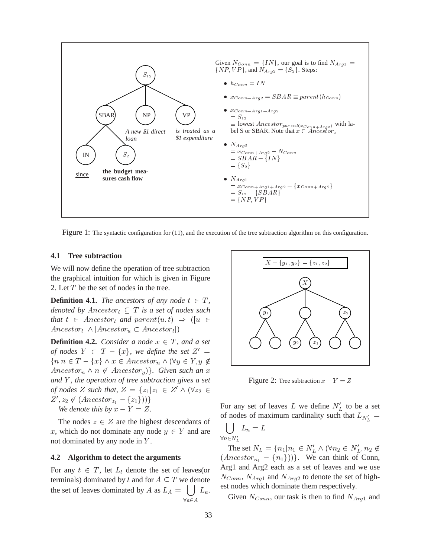

Figure 1: The syntactic configuration for (11), and the execution of the tree subtraction algorithm on this configuration.

### **4.1 Tree subtraction**

We will now define the operation of tree subtraction the graphical intuition for which is given in Figure 2. Let T be the set of nodes in the tree.

**Definition 4.1.** *The ancestors of any node*  $t \in T$ *, denoted by*  $Ancestor_t \subseteq T$  *is a set of nodes such that*  $t \in Ancestor_t$  *and*  $parent(u, t) \Rightarrow ( [u \in$  $Ancestor_t | \land [Ancestor_u \subset Ancestor_t]$ 

**Definition 4.2.** *Consider a node*  $x \in T$ *, and a set of nodes*  $Y \subset T - \{x\}$ , we define the set  $Z' =$  $\{n \vert n \in T - \{x\} \land x \in Ancestor_n \land (\forall y \in Y, y \notin \emptyset)\}$  $Ancestor_n \wedge n \notin Ancestor_y$ *}. Given such an* x *and* Y *, the operation of tree subtraction gives a set of nodes* Z *such that,*  $Z = \{z_1 | z_1 \in Z' \land (\forall z_2 \in$  $Z', z_2 \notin (Ancestor_{z_1} - \{z_1\}))\}$ *We denote this by*  $x - Y = Z$ .

The nodes  $z \in Z$  are the highest descendants of x, which do not dominate any node  $y \in Y$  and are not dominated by any node in Y .

#### **4.2 Algorithm to detect the arguments**

For any  $t \in T$ , let  $L_t$  denote the set of leaves(or terminals) dominated by t and for  $A \subseteq T$  we denote the set of leaves dominated by A as  $L_A = \begin{bmatrix} 1 & L_a \end{bmatrix}$ . est nodes when  $\forall a \in A$ a a series and a series of the series of the series of the series of the series of the series of the series of



Figure 2: Tree subtraction  $x - Y = Z$ 

For any set of leaves L we define  $N_L'$  to be a set of nodes of maximum cardinality such that  $L_{N'_t}$  =

 $\bigcup_{\forall n \in N'_L} L_n = L$ 

 $\blacksquare$   $\blacksquare$   $\blacksquare$   $\blacksquare$   $\blacksquare$   $\blacksquare$   $\blacksquare$   $\blacksquare$   $\blacksquare$   $\blacksquare$   $\blacksquare$   $\blacksquare$   $\blacksquare$   $\blacksquare$   $\blacksquare$   $\blacksquare$   $\blacksquare$   $\blacksquare$   $\blacksquare$   $\blacksquare$   $\blacksquare$   $\blacksquare$   $\blacksquare$   $\blacksquare$   $\blacksquare$   $\blacksquare$   $\blacksquare$   $\blacksquare$   $\blacksquare$   $\blacksquare$   $\blacksquare$   $\blacks$ 

The set  $N_L = \{n_1 | n_1 \in N_L' \land (\forall n_2 \in N_L', n_2 \notin \mathcal{C}\})$  $(Ancestor_{n_1} - {n_1})$ ). We can think of Conn, Arg1 and Arg2 each as a set of leaves and we use  $N_{Conn}$ ,  $N_{Arg1}$  and  $N_{Arg2}$  to denote the set of highest nodes which dominate them respectively.

Given  $N_{Conn}$ , our task is then to find  $N_{Arg1}$  and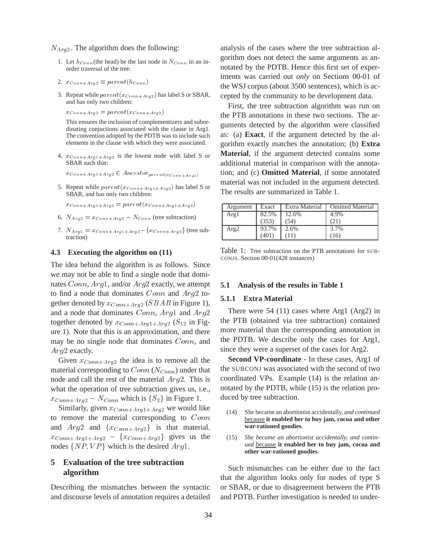$N_{Arg2}$ . The algorithm does the following:

- 1. Let  $h_{Conn}$  (the head) be the last node in  $N_{Conn}$  in an inorder traversal of the tree.
- 2.  $x_{Conn+Arg2} \equiv parent(h_{Conn})$
- 3. Repeat while  $parent(x_{Conn+Arg2})$  has label S or SBAR, and has only two children:

 $x_{Conn+Arg2} = parent(x_{Conn+Arg2})$ 

This ensures the inclusion of complementizers and subordinating conjuctions associated with the clause in Arg1. The convention adopted by the PDTB was to include such elements in the clause with which they were associated.

4.  $x_{Conn+Aral+Aral}$  is the lowest node with label S or SBAR such that:

 $x_{Conn+Arg1+Arg2} \in Ancestor_{parent(x_{Conn+Arg2})}$ 

5. Repeat while  $parent(x_{Conn+Arg1+Arg2})$  has label S or SBAR, and has only two children:

 $x_{Conn+Arg1+Arg2} = parent(x_{Conn+Arg1+Arg2})$ 

- 6.  $N_{Arg2} = x_{Conn+Arg2} N_{Conn}$  (tree subtraction)
- 7.  $N_{Arg1} = x_{Conn+Arg1+Arg2} \{x_{Conn+Arg2}\}$  (tree subtraction)

#### **4.3 Executing the algorithm on (11)**

The idea behind the algorithm is as follows. Since we may not be able to find a single node that dominates  $Conn, Arq1$ , and/or  $Arq2$  exactly, we attempt to find a node that dominates Conn and Arg<sup>2</sup> together denoted by  $x_{Conn+Area}$  (SBAR in Figure 1), and a node that dominates Conn, Arg<sup>1</sup> and Arg<sup>2</sup> together denoted by  $x_{Conn+Arg1+Arg2}$  ( $S_{12}$  in Figure 1). Note that this is an approximation, and there may be no single node that dominates  $Conn$ , and Arg2 exactly.

Given  $x_{Conn+Arg2}$  the idea is to remove all the material corresponding to  $Conn (N_{Conn})$  under that node and call the rest of the material Arg<sup>2</sup>. This is what the operation of tree subtraction gives us, i.e.,  $x_{Conn+Arg2} - N_{Conn}$  which is  $\{S_2\}$  in Figure 1.

Similarly, given  $x_{Conn+Arg1+Arg2}$  we would like to remove the material corresponding to  $Conn$  (14) and  $Arg2$  and  $\{x_{Conn+Arg2}\}\$  is that material.  $x_{Conn+Arg1+Arg2} - \{x_{Conn+Arg2}\}\$  gives us the nodes  $\{NP, VP\}$  which is the desired  $Arg1$ .

# **5 Evaluation of the tree subtraction algorithm**

Describing the mismatches between the syntactic and discourse levels of annotation requires a detailed analysis of the cases where the tree subtraction algorithm does not detect the same arguments as annotated by the PDTB. Hence this first set of experiments was carried out *only* on Sections 00-01 of the WSJ corpus (about 3500 sentences), which is accepted by the community to be development data.

First, the tree subtraction algorithm was run on the PTB annotations in these two sections. The arguments detected by the algorithm were classified as: (a) **Exact**, if the argument detected by the algorithm exactly matches the annotation; (b) **Extra Material**, if the argument detected contains some additional material in comparison with the annotation; and (c) **Omitted Material**, if some annotated material was not included in the argument detected. The results are summarized in Table 1.

| Argument | Exact | Extra Material | <b>Omitted Material</b> |
|----------|-------|----------------|-------------------------|
| Argl     | 82.5% | 12.6%          | 4.9%                    |
|          | (353) | (54)           | (21)                    |
| Arg2     | 93.7% | 2.6%           | 3.7%                    |
|          | (401) |                | 16                      |

Table 1: Tree subtraction on the PTB annotations for SUB-CONJS. Section 00-01(428 instances)

#### **5.1 Analysis of the results in Table 1**

#### **5.1.1 Extra Material**

There were 54 (11) cases where Arg1 (Arg2) in the PTB (obtained via tree subtraction) contained more material than the corresponding annotation in the PDTB. We describe only the cases for Arg1, since they were a superset of the cases for Arg2.

**Second VP-coordinate** - In these cases, Arg1 of the SUBCONJ was associated with the second of two coordinated VPs. Example (14) is the relation annotated by the PDTB, while (15) is the relation produced by tree subtraction.

- She became an abortionist accidentally, *and continued* because **it enabled her to buy jam, cocoa and other war-rationed goodies**.
- (15) *She became an abortionist accidentally, and continued* because **it enabled her to buy jam, cocoa and other war-rationed goodies**.

Such mismatches can be either due to the fact that the algorithm looks only for nodes of type S or SBAR, or due to disagreement between the PTB and PDTB. Further investigation is needed to under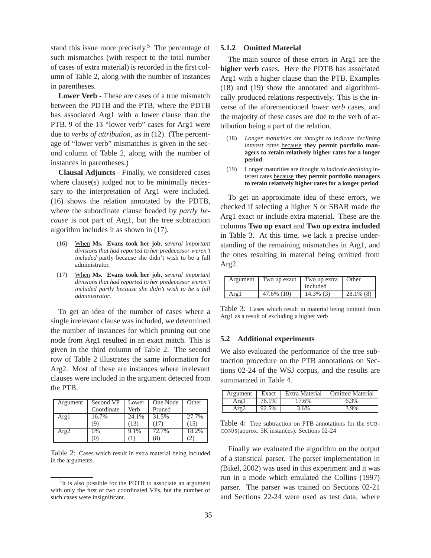stand this issue more precisely.<sup>5</sup> The percentage of such mismatches (with respect to the total number of cases of extra material) is recorded in the first column of Table 2, along with the number of instances in parentheses.

**Lower Verb** - These are cases of a true mismatch between the PDTB and the PTB, where the PDTB has associated Arg1 with a lower clause than the PTB. <sup>9</sup> of the <sup>13</sup> "lower verb" cases for Arg1 were due to *verbs of attribution*, as in (12). (The percentage of "lower verb" mismatches is given in the second column of Table 2, along with the number of instances in parentheses.)

**Clausal Adjuncts** - Finally, we considered cases where clause(s) judged not to be minimally necessary to the interpretation of Arg1 were included. (16) shows the relation annotated by the PDTB, where the subordinate clause headed by *partly because* is not part of Arg1, but the tree subtraction algorithm includes it as shown in (17).

- (16) When **Ms. Evans took her job**, *several important divisions that had reported to her predecessor weren't included* partly because she didn't wish to be a full administrator.
- (17) When **Ms. Evans took her job**, *several important divisions that had reported to her predecessor weren't included partly because she didn't wish to be a full administrator*.

To get an idea of the number of cases where a single irrelevant clause was included, we determined the number of instances for which pruning out one node from Arg1 resulted in an exact match. This is given in the third column of Table 2. The second row of Table 2 illustrates the same information for Arg2. Most of these are instances where irrelevant clauses were included in the argument detected from the PTB.

| Argument | Second VP  | Lower | One Node | Other |
|----------|------------|-------|----------|-------|
|          | Coordinate | Verb  | Pruned   |       |
| Arg1     | 16.7%      | 24.1% | 31.5%    | 27.7% |
|          |            | 13)   | (17)     | [15]  |
| Arg2     | 0%         | 9.1%  | 72.7%    | 18.2% |
|          |            |       | (8       |       |

Table 2: Cases which result in extra material being included in the arguments.

#### **5.1.2 Omitted Material**

The main source of these errors in Arg1 are the **higher verb** cases. Here the PDTB has associated Arg1 with a higher clause than the PTB. Examples (18) and (19) show the annotated and algorithmically produced relations respectively. This is the inverse of the aforementioned *lower verb* cases, and the majority of these cases are due to the verb of attribution being a part of the relation.

- (18) *Longer maturities are thought to indicate declining interest rates* because **they permit portfolio managers to retain relatively higher rates for a longer period**.
- (19) Longer maturities are thought *to indicate declining* interest rates because **they permit portfolio managers to retain relatively higher rates for a longer period**.

To get an approximate idea of these errors, we checked if selecting a higher S or SBAR made the Arg1 exact or include extra material. These are the columns **Two up exact** and **Two up extra included** in Table 3. At this time, we lack a precise understanding of the remaining mismatches in Arg1, and the ones resulting in material being omitted from Arg2.

| Argument | Two up exact | Two up extra<br>included | Other        |
|----------|--------------|--------------------------|--------------|
| Argl     | 47.6% (10)   | $14.3\%$ (3)             | $28.1\%$ (8) |

Table 3: Cases which result in material being omitted from Arg1 as a result of excluding a higher verb

### **5.2 Additional experiments**

We also evaluated the performance of the tree subtraction procedure on the PTB annotations on Sections 02-24 of the WSJ corpus, and the results are summarized in Table 4.

| Argument | Exact | Extra Material | <b>Comitted Material</b> |
|----------|-------|----------------|--------------------------|
| Argl     | 76.1% | 17.6%          | 6.3%                     |
| Arg2     | 92.5% | 3.6%           | 3.9%                     |

Table 4: Tree subtraction on PTB annotations for the SUB-CONJS(approx. 5K instances). Sections 02-24

Finally we evaluated the algorithm on the output of a statistical parser. The parser implementation in (Bikel, 2002) was used in this experiment and it was run in a mode which emulated the Collins (1997) parser. The parser was trained on Sections 02-21 and Sections 22-24 were used as test data, where

<sup>&</sup>lt;sup>5</sup>It is also possible for the PDTB to associate an argument with only the first of two coordinated VPs, but the number of such cases were insignificant.